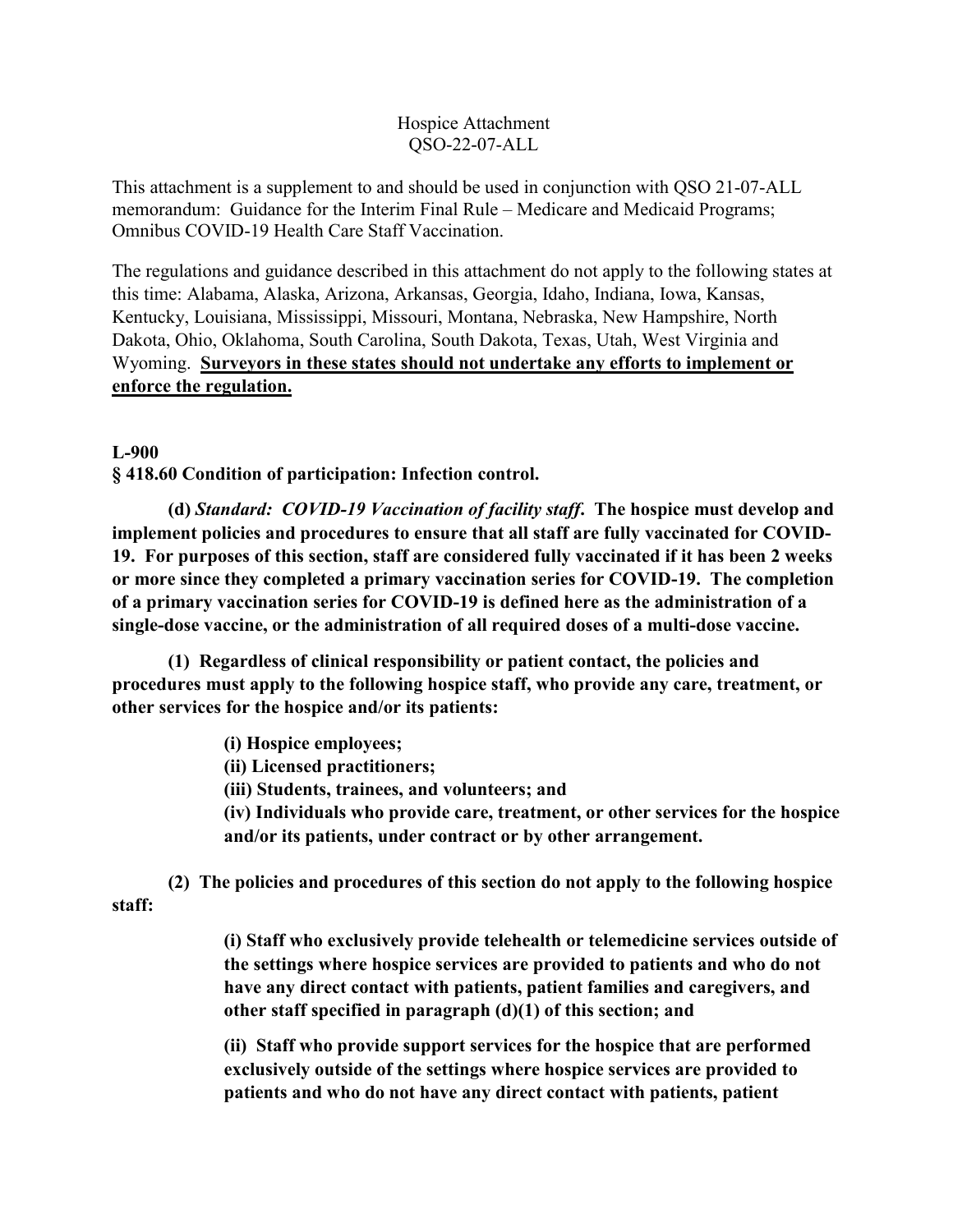#### Hospice Attachment QSO-22-07-ALL

This attachment is a supplement to and should be used in conjunction with QSO 21-07-ALL memorandum: Guidance for the Interim Final Rule – Medicare and Medicaid Programs; Omnibus COVID-19 Health Care Staff Vaccination.

The regulations and guidance described in this attachment do not apply to the following states at this time: Alabama, Alaska, Arizona, Arkansas, Georgia, Idaho, Indiana, Iowa, Kansas, Kentucky, Louisiana, Mississippi, Missouri, Montana, Nebraska, New Hampshire, North Dakota, Ohio, Oklahoma, South Carolina, South Dakota, Texas, Utah, West Virginia and Wyoming. **Surveyors in these states should not undertake any efforts to implement or enforce the regulation.**

#### **L-900**

**§ 418.60 Condition of participation: Infection control.**

 **(d)** *Standard: COVID-19 Vaccination of facility staff***. The hospice must develop and implement policies and procedures to ensure that all staff are fully vaccinated for COVID-19. For purposes of this section, staff are considered fully vaccinated if it has been 2 weeks or more since they completed a primary vaccination series for COVID-19. The completion of a primary vaccination series for COVID-19 is defined here as the administration of a single-dose vaccine, or the administration of all required doses of a multi-dose vaccine.**

 **(1) Regardless of clinical responsibility or patient contact, the policies and procedures must apply to the following hospice staff, who provide any care, treatment, or other services for the hospice and/or its patients:** 

**(i) Hospice employees;**

**(ii) Licensed practitioners;**

**(iii) Students, trainees, and volunteers; and**

**(iv) Individuals who provide care, treatment, or other services for the hospice and/or its patients, under contract or by other arrangement.**

**(2) The policies and procedures of this section do not apply to the following hospice** 

**staff:**

**(i) Staff who exclusively provide telehealth or telemedicine services outside of the settings where hospice services are provided to patients and who do not have any direct contact with patients, patient families and caregivers, and other staff specified in paragraph (d)(1) of this section; and**

**(ii) Staff who provide support services for the hospice that are performed exclusively outside of the settings where hospice services are provided to patients and who do not have any direct contact with patients, patient**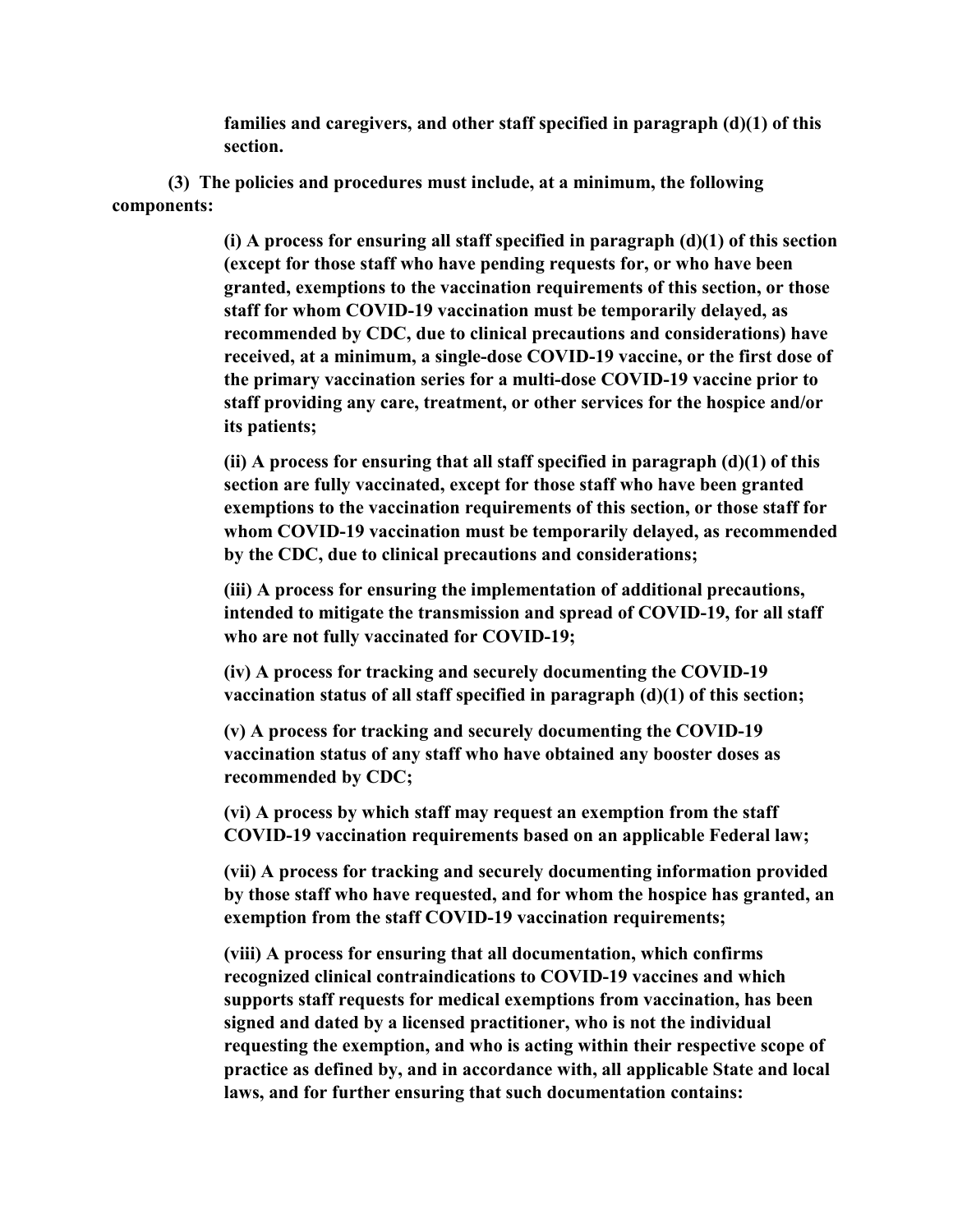**families and caregivers, and other staff specified in paragraph (d)(1) of this section.**

**(3) The policies and procedures must include, at a minimum, the following components:**

> **(i) A process for ensuring all staff specified in paragraph (d)(1) of this section (except for those staff who have pending requests for, or who have been granted, exemptions to the vaccination requirements of this section, or those staff for whom COVID-19 vaccination must be temporarily delayed, as recommended by CDC, due to clinical precautions and considerations) have received, at a minimum, a single-dose COVID-19 vaccine, or the first dose of the primary vaccination series for a multi-dose COVID-19 vaccine prior to staff providing any care, treatment, or other services for the hospice and/or its patients;**

> **(ii) A process for ensuring that all staff specified in paragraph (d)(1) of this section are fully vaccinated, except for those staff who have been granted exemptions to the vaccination requirements of this section, or those staff for whom COVID-19 vaccination must be temporarily delayed, as recommended by the CDC, due to clinical precautions and considerations;**

**(iii) A process for ensuring the implementation of additional precautions, intended to mitigate the transmission and spread of COVID-19, for all staff who are not fully vaccinated for COVID-19;**

**(iv) A process for tracking and securely documenting the COVID-19 vaccination status of all staff specified in paragraph (d)(1) of this section;**

**(v) A process for tracking and securely documenting the COVID-19 vaccination status of any staff who have obtained any booster doses as recommended by CDC;** 

**(vi) A process by which staff may request an exemption from the staff COVID-19 vaccination requirements based on an applicable Federal law;** 

**(vii) A process for tracking and securely documenting information provided by those staff who have requested, and for whom the hospice has granted, an exemption from the staff COVID-19 vaccination requirements;** 

**(viii) A process for ensuring that all documentation, which confirms recognized clinical contraindications to COVID-19 vaccines and which supports staff requests for medical exemptions from vaccination, has been signed and dated by a licensed practitioner, who is not the individual requesting the exemption, and who is acting within their respective scope of practice as defined by, and in accordance with, all applicable State and local laws, and for further ensuring that such documentation contains:**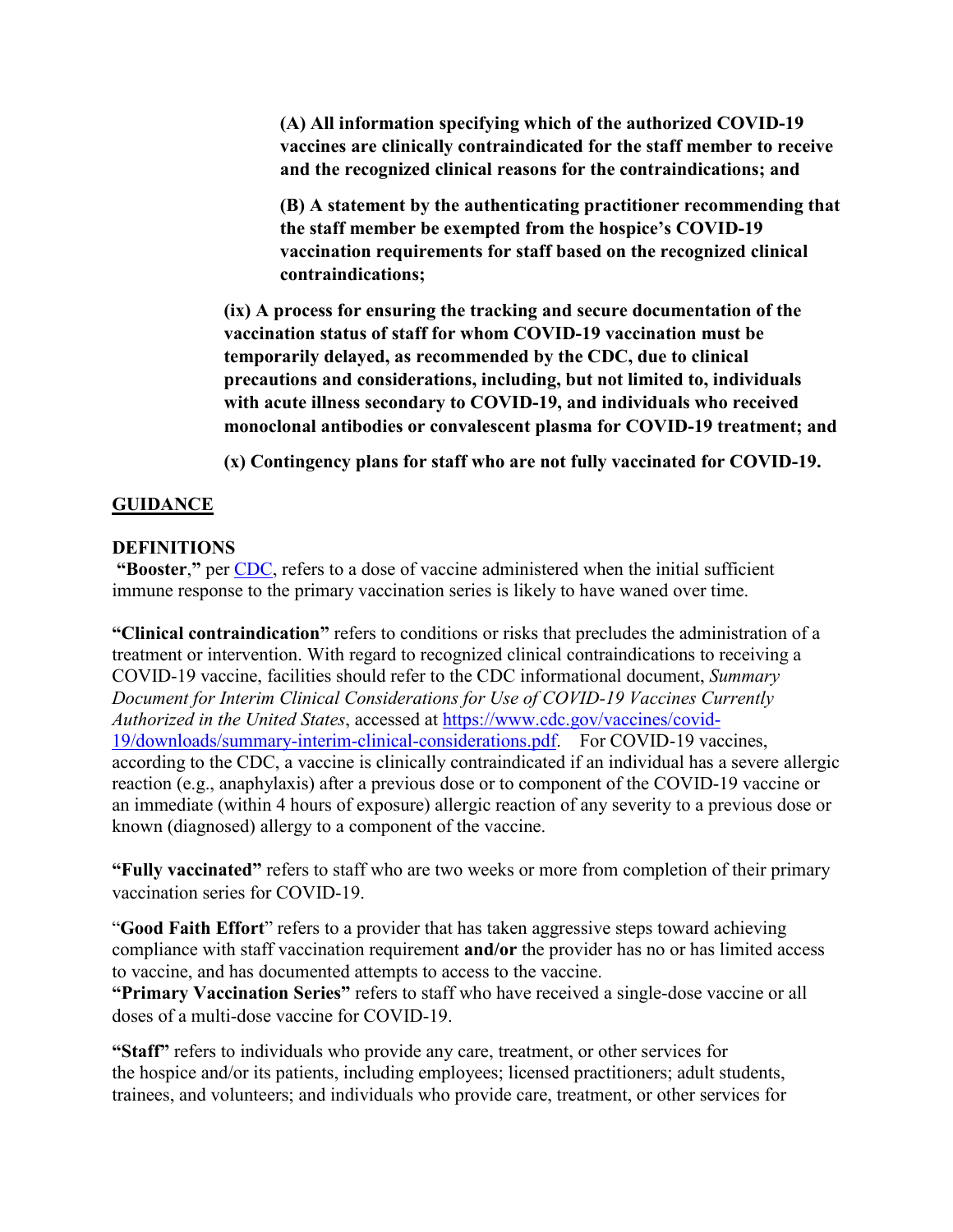**(A) All information specifying which of the authorized COVID-19 vaccines are clinically contraindicated for the staff member to receive and the recognized clinical reasons for the contraindications; and** 

**(B) A statement by the authenticating practitioner recommending that the staff member be exempted from the hospice's COVID-19 vaccination requirements for staff based on the recognized clinical contraindications;** 

**(ix) A process for ensuring the tracking and secure documentation of the vaccination status of staff for whom COVID-19 vaccination must be temporarily delayed, as recommended by the CDC, due to clinical precautions and considerations, including, but not limited to, individuals with acute illness secondary to COVID-19, and individuals who received monoclonal antibodies or convalescent plasma for COVID-19 treatment; and**

**(x) Contingency plans for staff who are not fully vaccinated for COVID-19.**

## **GUIDANCE**

## **DEFINITIONS**

**"Booster**,**"** per CDC, refers to a dose of vaccine administered when the initial sufficient immune response to the primary vaccination series is likely to have waned over time.

**"Clinical contraindication"** refers to conditions or risks that precludes the administration of a treatment or intervention. With regard to recognized clinical contraindications to receiving a COVID-19 vaccine, facilities should refer to the CDC informational document, *Summary Document for Interim Clinical Considerations for Use of COVID-19 Vaccines Currently Authorized in the United States*, accessed at [https://www.cdc.gov/vaccines/covid-](https://www.cdc.gov/vaccines/covid-19/downloads/summary-interim-clinical-considerations.pdf)[19/downloads/summary-interim-clinical-considerations.pdf.](https://www.cdc.gov/vaccines/covid-19/downloads/summary-interim-clinical-considerations.pdf) For COVID-19 vaccines, according to the CDC, a vaccine is clinically contraindicated if an individual has a severe allergic reaction (e.g., anaphylaxis) after a previous dose or to component of the COVID-19 vaccine or an immediate (within 4 hours of exposure) allergic reaction of any severity to a previous dose or known (diagnosed) allergy to a component of the vaccine.

**"Fully vaccinated"** refers to staff who are two weeks or more from completion of their primary vaccination series for COVID-19.

"**Good Faith Effort**" refers to a provider that has taken aggressive steps toward achieving compliance with staff vaccination requirement **and/or** the provider has no or has limited access to vaccine, and has documented attempts to access to the vaccine. **"Primary Vaccination Series"** refers to staff who have received a single-dose vaccine or all doses of a multi-dose vaccine for COVID-19.

**"Staff"** refers to individuals who provide any care, treatment, or other services for the hospice and/or its patients, including employees; licensed practitioners; adult students, trainees, and volunteers; and individuals who provide care, treatment, or other services for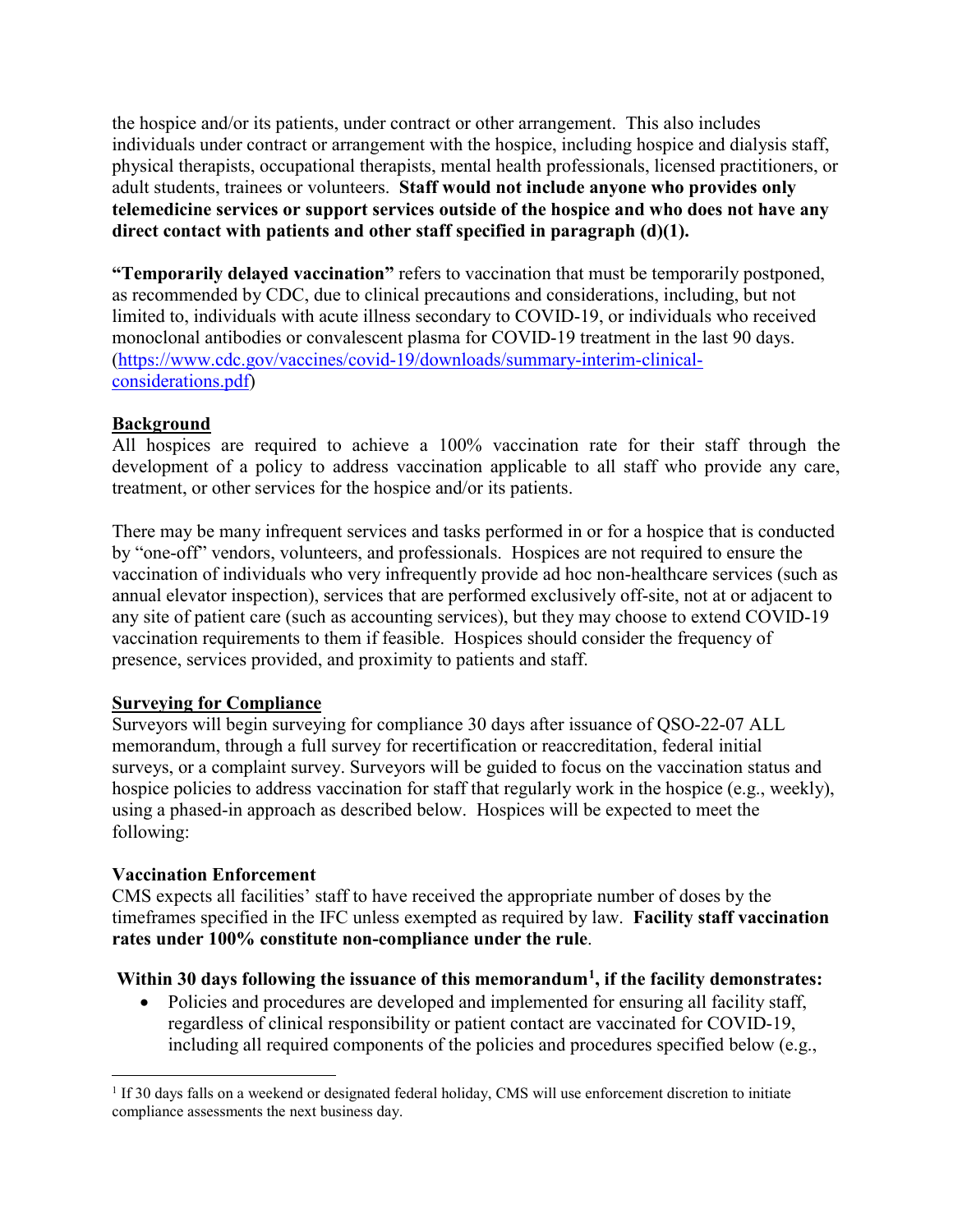the hospice and/or its patients, under contract or other arrangement. This also includes individuals under contract or arrangement with the hospice, including hospice and dialysis staff, physical therapists, occupational therapists, mental health professionals, licensed practitioners, or adult students, trainees or volunteers. **Staff would not include anyone who provides only telemedicine services or support services outside of the hospice and who does not have any direct contact with patients and other staff specified in paragraph (d)(1).**

**"Temporarily delayed vaccination"** refers to vaccination that must be temporarily postponed, as recommended by CDC, due to clinical precautions and considerations, including, but not limited to, individuals with acute illness secondary to COVID-19, or individuals who received monoclonal antibodies or convalescent plasma for COVID-19 treatment in the last 90 days. (https://www.cdc.gov/vaccines/covid-19/downloads/summary-interim-clinicalconsiderations.pdf)

## **Background**

All hospices are required to achieve a 100% vaccination rate for their staff through the development of a policy to address vaccination applicable to all staff who provide any care, treatment, or other services for the hospice and/or its patients.

There may be many infrequent services and tasks performed in or for a hospice that is conducted by "one-off" vendors, volunteers, and professionals. Hospices are not required to ensure the vaccination of individuals who very infrequently provide ad hoc non-healthcare services (such as annual elevator inspection), services that are performed exclusively off-site, not at or adjacent to any site of patient care (such as accounting services), but they may choose to extend COVID-19 vaccination requirements to them if feasible. Hospices should consider the frequency of presence, services provided, and proximity to patients and staff.

## **Surveying for Compliance**

Surveyors will begin surveying for compliance 30 days after issuance of QSO-22-07 ALL memorandum, through a full survey for recertification or reaccreditation, federal initial surveys, or a complaint survey. Surveyors will be guided to focus on the vaccination status and hospice policies to address vaccination for staff that regularly work in the hospice (e.g., weekly), using a phased-in approach as described below. Hospices will be expected to meet the following:

## **Vaccination Enforcement**

l

CMS expects all facilities' staff to have received the appropriate number of doses by the timeframes specified in the IFC unless exempted as required by law. **Facility staff vaccination rates under 100% constitute non-compliance under the rule**.

## **Within 30 days following the issuance of this memorandum[1](#page-3-0), if the facility demonstrates:**

• Policies and procedures are developed and implemented for ensuring all facility staff, regardless of clinical responsibility or patient contact are vaccinated for COVID-19, including all required components of the policies and procedures specified below (e.g.,

<span id="page-3-0"></span><sup>&</sup>lt;sup>1</sup> If 30 days falls on a weekend or designated federal holiday, CMS will use enforcement discretion to initiate compliance assessments the next business day.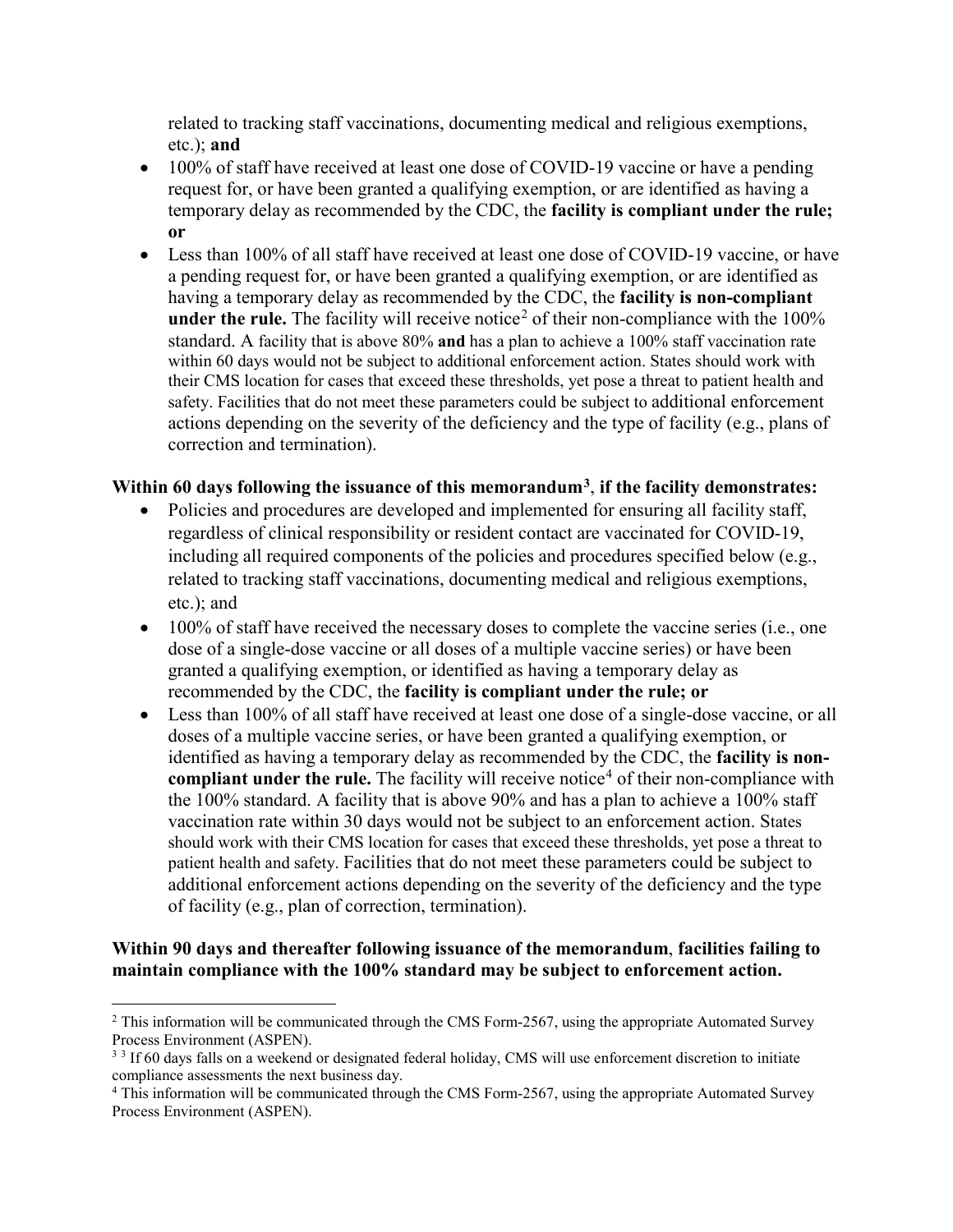related to tracking staff vaccinations, documenting medical and religious exemptions, etc.); **and**

- 100% of staff have received at least one dose of COVID-19 vaccine or have a pending request for, or have been granted a qualifying exemption, or are identified as having a temporary delay as recommended by the CDC, the **facility is compliant under the rule; or**
- Less than 100% of all staff have received at least one dose of COVID-19 vaccine, or have a pending request for, or have been granted a qualifying exemption, or are identified as having a temporary delay as recommended by the CDC, the **facility is non-compliant under the rule.** The facility will receive notice<sup>[2](#page-4-0)</sup> of their non-compliance with the  $100\%$ standard. A facility that is above 80% **and** has a plan to achieve a 100% staff vaccination rate within 60 days would not be subject to additional enforcement action. States should work with their CMS location for cases that exceed these thresholds, yet pose a threat to patient health and safety. Facilities that do not meet these parameters could be subject to additional enforcement actions depending on the severity of the deficiency and the type of facility (e.g., plans of correction and termination).

#### **Within 60 days following the issuance of this memorandum[3](#page-4-1)**, **if the facility demonstrates:**

- Policies and procedures are developed and implemented for ensuring all facility staff, regardless of clinical responsibility or resident contact are vaccinated for COVID-19, including all required components of the policies and procedures specified below (e.g., related to tracking staff vaccinations, documenting medical and religious exemptions, etc.); and
- $\bullet$  100% of staff have received the necessary doses to complete the vaccine series (i.e., one dose of a single-dose vaccine or all doses of a multiple vaccine series) or have been granted a qualifying exemption, or identified as having a temporary delay as recommended by the CDC, the **facility is compliant under the rule; or**
- Less than 100% of all staff have received at least one dose of a single-dose vaccine, or all doses of a multiple vaccine series, or have been granted a qualifying exemption, or identified as having a temporary delay as recommended by the CDC, the **facility is noncompliant under the rule.** The facility will receive notice<sup>[4](#page-4-2)</sup> of their non-compliance with the 100% standard. A facility that is above 90% and has a plan to achieve a 100% staff vaccination rate within 30 days would not be subject to an enforcement action. States should work with their CMS location for cases that exceed these thresholds, yet pose a threat to patient health and safety. Facilities that do not meet these parameters could be subject to additional enforcement actions depending on the severity of the deficiency and the type of facility (e.g., plan of correction, termination).

## **Within 90 days and thereafter following issuance of the memorandum**, **facilities failing to maintain compliance with the 100% standard may be subject to enforcement action.**

 $\overline{a}$ 

<span id="page-4-0"></span><sup>&</sup>lt;sup>2</sup> This information will be communicated through the CMS Form-2567, using the appropriate Automated Survey Process Environment (ASPEN).

<span id="page-4-1"></span><sup>&</sup>lt;sup>3</sup> <sup>3</sup> If 60 days falls on a weekend or designated federal holiday, CMS will use enforcement discretion to initiate compliance assessments the next business day.

<span id="page-4-2"></span><sup>4</sup> This information will be communicated through the CMS Form-2567, using the appropriate Automated Survey Process Environment (ASPEN).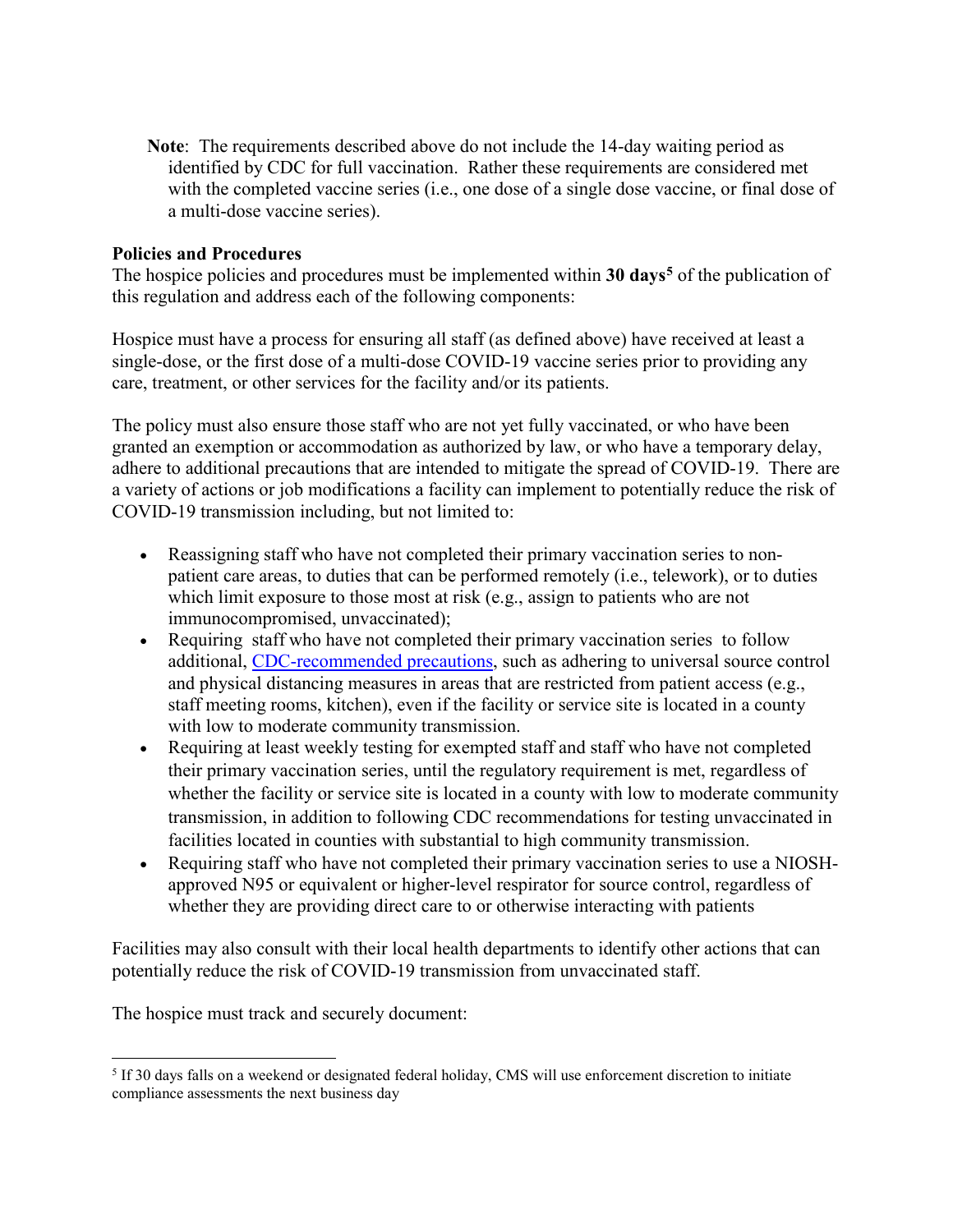**Note**: The requirements described above do not include the 14-day waiting period as identified by CDC for full vaccination. Rather these requirements are considered met with the completed vaccine series (i.e., one dose of a single dose vaccine, or final dose of a multi-dose vaccine series).

#### **Policies and Procedures**

The hospice policies and procedures must be implemented within **30 days[5](#page-5-0)** of the publication of this regulation and address each of the following components:

Hospice must have a process for ensuring all staff (as defined above) have received at least a single-dose, or the first dose of a multi-dose COVID-19 vaccine series prior to providing any care, treatment, or other services for the facility and/or its patients.

The policy must also ensure those staff who are not yet fully vaccinated, or who have been granted an exemption or accommodation as authorized by law, or who have a temporary delay, adhere to additional precautions that are intended to mitigate the spread of COVID-19. There are a variety of actions or job modifications a facility can implement to potentially reduce the risk of COVID-19 transmission including, but not limited to:

- Reassigning staff who have not completed their primary vaccination series to nonpatient care areas, to duties that can be performed remotely (i.e., telework), or to duties which limit exposure to those most at risk (e.g., assign to patients who are not immunocompromised, unvaccinated);
- Requiring staff who have not completed their primary vaccination series to follow additional, [CDC-recommended precautions,](https://www.cdc.gov/coronavirus/2019-ncov/hcp/infection-control-recommendations.html) such as adhering to universal source control and physical distancing measures in areas that are restricted from patient access (e.g., staff meeting rooms, kitchen), even if the facility or service site is located in a county with low to moderate community transmission.
- Requiring at least weekly testing for exempted staff and staff who have not completed their primary vaccination series, until the regulatory requirement is met, regardless of whether the facility or service site is located in a county with low to moderate community transmission, in addition to following CDC recommendations for testing unvaccinated in facilities located in counties with substantial to high community transmission.
- Requiring staff who have not completed their primary vaccination series to use a NIOSHapproved N95 or equivalent or higher-level respirator for source control, regardless of whether they are providing direct care to or otherwise interacting with patients

Facilities may also consult with their local health departments to identify other actions that can potentially reduce the risk of COVID-19 transmission from unvaccinated staff.

The hospice must track and securely document:

<span id="page-5-0"></span>l <sup>5</sup> If 30 days falls on a weekend or designated federal holiday, CMS will use enforcement discretion to initiate compliance assessments the next business day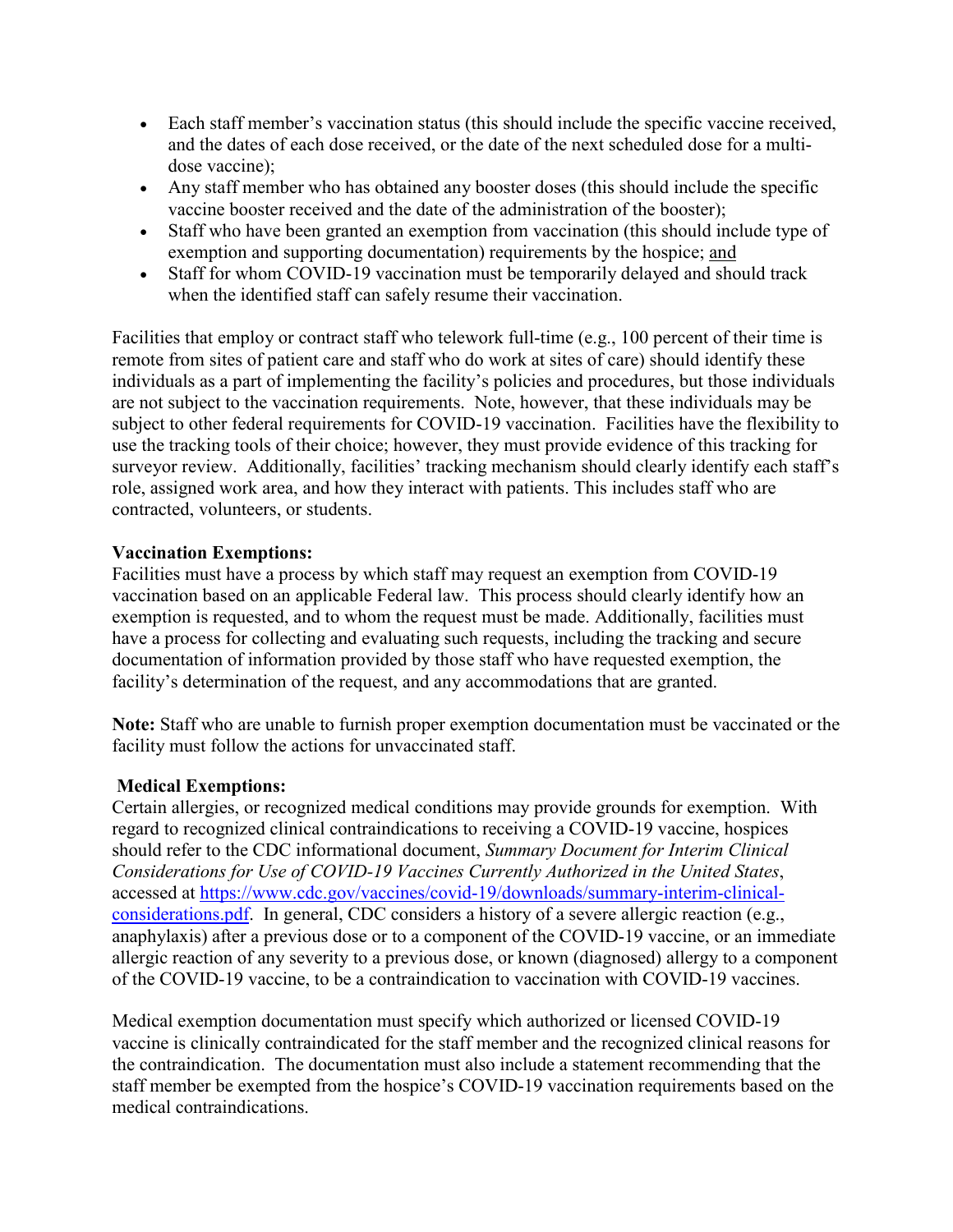- Each staff member's vaccination status (this should include the specific vaccine received, and the dates of each dose received, or the date of the next scheduled dose for a multidose vaccine);
- Any staff member who has obtained any booster doses (this should include the specific vaccine booster received and the date of the administration of the booster);
- Staff who have been granted an exemption from vaccination (this should include type of exemption and supporting documentation) requirements by the hospice; and
- Staff for whom COVID-19 vaccination must be temporarily delayed and should track when the identified staff can safely resume their vaccination.

Facilities that employ or contract staff who telework full-time (e.g., 100 percent of their time is remote from sites of patient care and staff who do work at sites of care) should identify these individuals as a part of implementing the facility's policies and procedures, but those individuals are not subject to the vaccination requirements. Note, however, that these individuals may be subject to other federal requirements for COVID-19 vaccination. Facilities have the flexibility to use the tracking tools of their choice; however, they must provide evidence of this tracking for surveyor review. Additionally, facilities' tracking mechanism should clearly identify each staff's role, assigned work area, and how they interact with patients. This includes staff who are contracted, volunteers, or students.

## **Vaccination Exemptions:**

Facilities must have a process by which staff may request an exemption from COVID-19 vaccination based on an applicable Federal law. This process should clearly identify how an exemption is requested, and to whom the request must be made. Additionally, facilities must have a process for collecting and evaluating such requests, including the tracking and secure documentation of information provided by those staff who have requested exemption, the facility's determination of the request, and any accommodations that are granted.

**Note:** Staff who are unable to furnish proper exemption documentation must be vaccinated or the facility must follow the actions for unvaccinated staff.

## **Medical Exemptions:**

Certain allergies, or recognized medical conditions may provide grounds for exemption. With regard to recognized clinical contraindications to receiving a COVID-19 vaccine, hospices should refer to the CDC informational document, *Summary Document for Interim Clinical Considerations for Use of COVID-19 Vaccines Currently Authorized in the United States*, accessed at https://www.cdc.gov/vaccines/covid-19/downloads/summary-interim-clinicalconsiderations.pdf. In general, CDC considers a history of a severe allergic reaction (e.g., anaphylaxis) after a previous dose or to a component of the COVID-19 vaccine, or an immediate allergic reaction of any severity to a previous dose, or known (diagnosed) allergy to a component of the COVID-19 vaccine, to be a contraindication to vaccination with COVID-19 vaccines.

Medical exemption documentation must specify which authorized or licensed COVID-19 vaccine is clinically contraindicated for the staff member and the recognized clinical reasons for the contraindication. The documentation must also include a statement recommending that the staff member be exempted from the hospice's COVID-19 vaccination requirements based on the medical contraindications.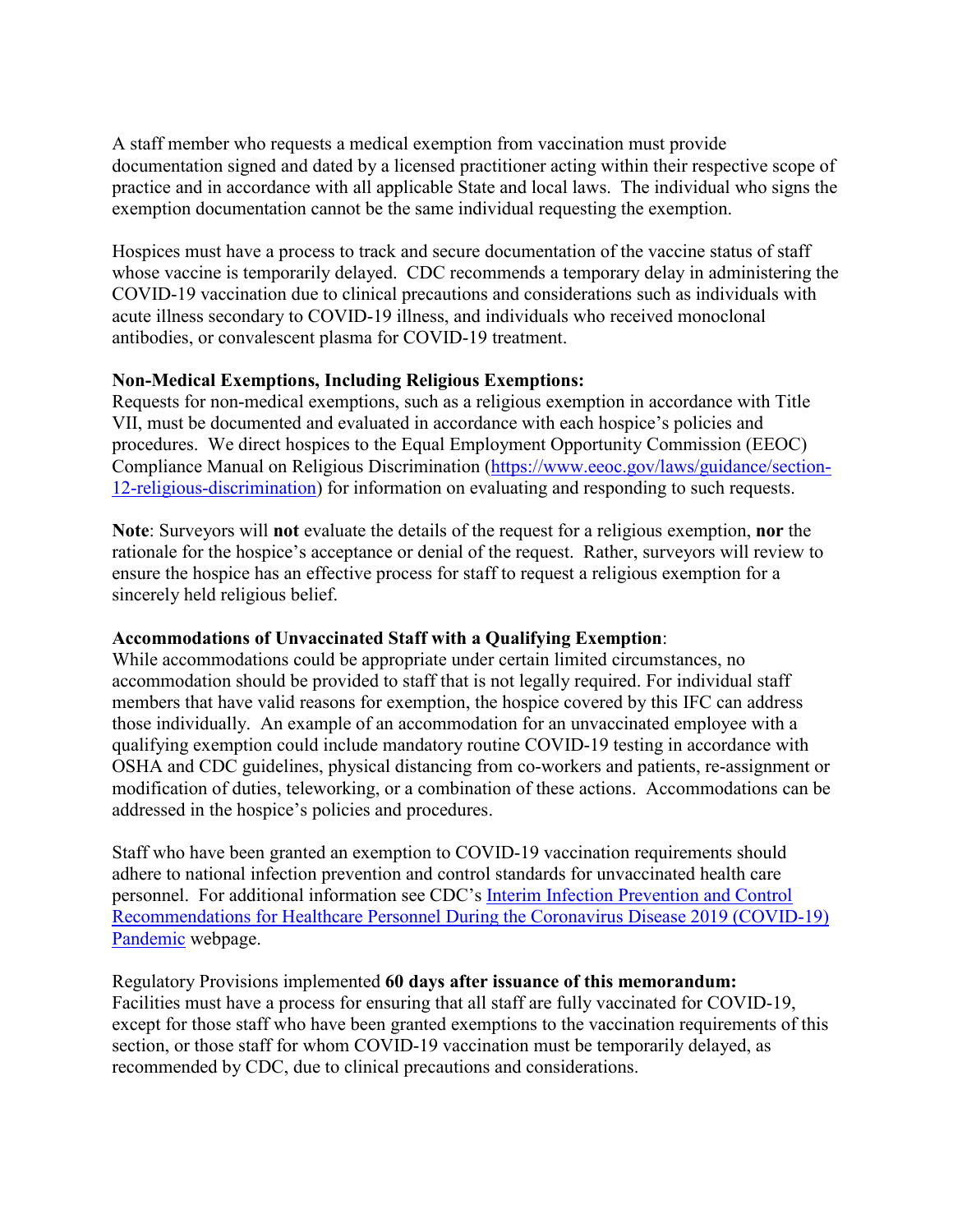A staff member who requests a medical exemption from vaccination must provide documentation signed and dated by a licensed practitioner acting within their respective scope of practice and in accordance with all applicable State and local laws. The individual who signs the exemption documentation cannot be the same individual requesting the exemption.

Hospices must have a process to track and secure documentation of the vaccine status of staff whose vaccine is temporarily delayed. CDC recommends a temporary delay in administering the COVID-19 vaccination due to clinical precautions and considerations such as individuals with acute illness secondary to COVID-19 illness, and individuals who received monoclonal antibodies, or convalescent plasma for COVID-19 treatment.

## **Non-Medical Exemptions, Including Religious Exemptions:**

Requests for non-medical exemptions, such as a religious exemption in accordance with Title VII, must be documented and evaluated in accordance with each hospice's policies and procedures. We direct hospices to the Equal Employment Opportunity Commission (EEOC) Compliance Manual on Religious Discrimination (https://www.eeoc.gov/laws/guidance/section-12-religious-discrimination) for information on evaluating and responding to such requests.

**Note**: Surveyors will **not** evaluate the details of the request for a religious exemption, **nor** the rationale for the hospice's acceptance or denial of the request. Rather, surveyors will review to ensure the hospice has an effective process for staff to request a religious exemption for a sincerely held religious belief.

## **Accommodations of Unvaccinated Staff with a Qualifying Exemption**:

While accommodations could be appropriate under certain limited circumstances, no accommodation should be provided to staff that is not legally required. For individual staff members that have valid reasons for exemption, the hospice covered by this IFC can address those individually. An example of an accommodation for an unvaccinated employee with a qualifying exemption could include mandatory routine COVID-19 testing in accordance with OSHA and CDC guidelines, physical distancing from co-workers and patients, re-assignment or modification of duties, teleworking, or a combination of these actions. Accommodations can be addressed in the hospice's policies and procedures.

Staff who have been granted an exemption to COVID-19 vaccination requirements should adhere to national infection prevention and control standards for unvaccinated health care personnel. For additional information see CDC's Interim Infection Prevention and Control Recommendations for Healthcare Personnel During the Coronavirus Disease 2019 (COVID-19) Pandemic webpage.

Regulatory Provisions implemented **60 days after issuance of this memorandum:** Facilities must have a process for ensuring that all staff are fully vaccinated for COVID-19, except for those staff who have been granted exemptions to the vaccination requirements of this section, or those staff for whom COVID-19 vaccination must be temporarily delayed, as recommended by CDC, due to clinical precautions and considerations.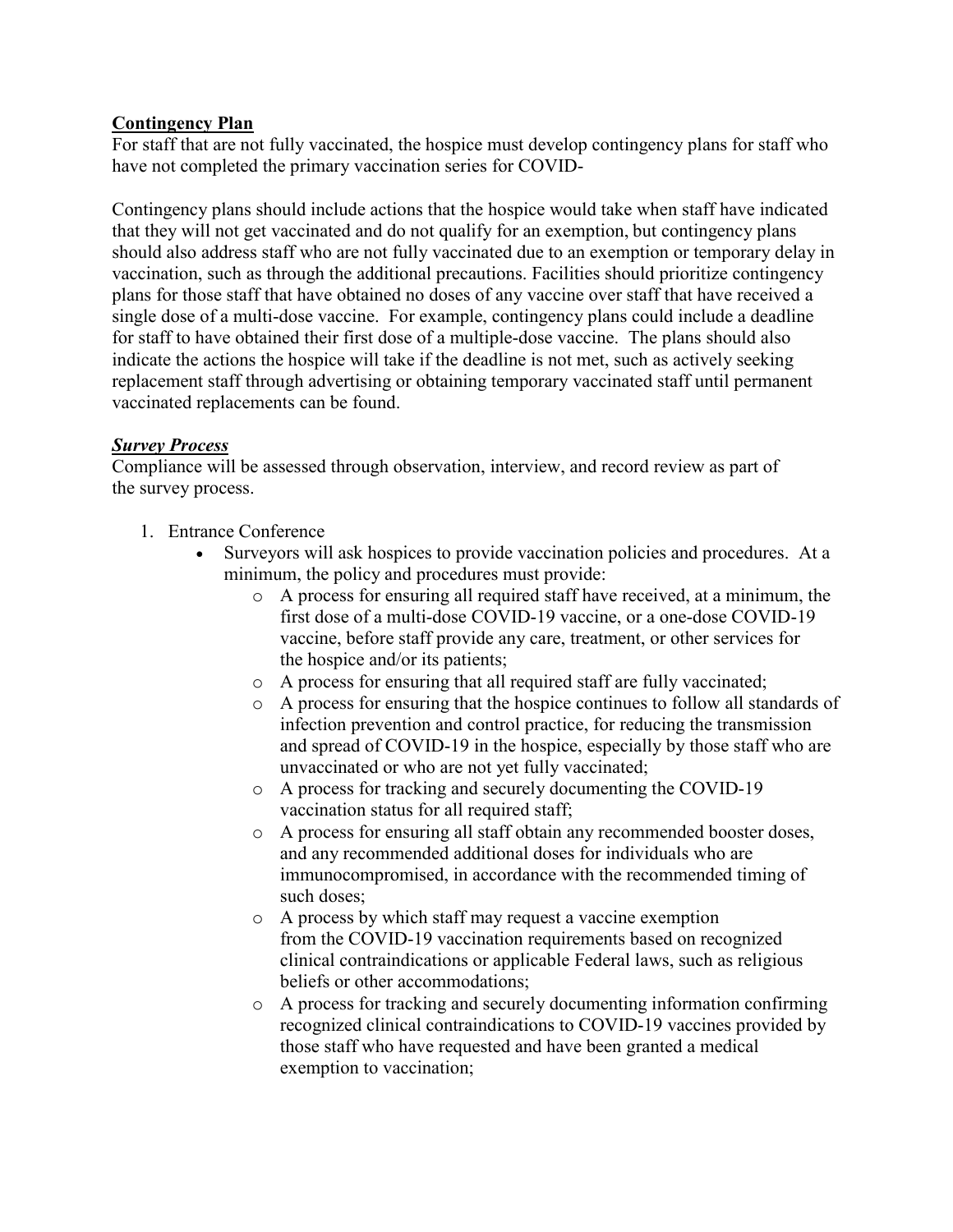## **Contingency Plan**

For staff that are not fully vaccinated, the hospice must develop contingency plans for staff who have not completed the primary vaccination series for COVID-

Contingency plans should include actions that the hospice would take when staff have indicated that they will not get vaccinated and do not qualify for an exemption, but contingency plans should also address staff who are not fully vaccinated due to an exemption or temporary delay in vaccination, such as through the additional precautions. Facilities should prioritize contingency plans for those staff that have obtained no doses of any vaccine over staff that have received a single dose of a multi-dose vaccine. For example, contingency plans could include a deadline for staff to have obtained their first dose of a multiple-dose vaccine. The plans should also indicate the actions the hospice will take if the deadline is not met, such as actively seeking replacement staff through advertising or obtaining temporary vaccinated staff until permanent vaccinated replacements can be found.

#### *Survey Process*

Compliance will be assessed through observation, interview, and record review as part of the survey process.

- 1. Entrance Conference
	- Surveyors will ask hospices to provide vaccination policies and procedures. At a minimum, the policy and procedures must provide:
		- o A process for ensuring all required staff have received, at a minimum, the first dose of a multi-dose COVID-19 vaccine, or a one-dose COVID-19 vaccine, before staff provide any care, treatment, or other services for the hospice and/or its patients;
		- o A process for ensuring that all required staff are fully vaccinated;
		- o A process for ensuring that the hospice continues to follow all standards of infection prevention and control practice, for reducing the transmission and spread of COVID-19 in the hospice, especially by those staff who are unvaccinated or who are not yet fully vaccinated;
		- o A process for tracking and securely documenting the COVID-19 vaccination status for all required staff;
		- o A process for ensuring all staff obtain any recommended booster doses, and any recommended additional doses for individuals who are immunocompromised, in accordance with the recommended timing of such doses;
		- o A process by which staff may request a vaccine exemption from the COVID-19 vaccination requirements based on recognized clinical contraindications or applicable Federal laws, such as religious beliefs or other accommodations;
		- o A process for tracking and securely documenting information confirming recognized clinical contraindications to COVID-19 vaccines provided by those staff who have requested and have been granted a medical exemption to vaccination;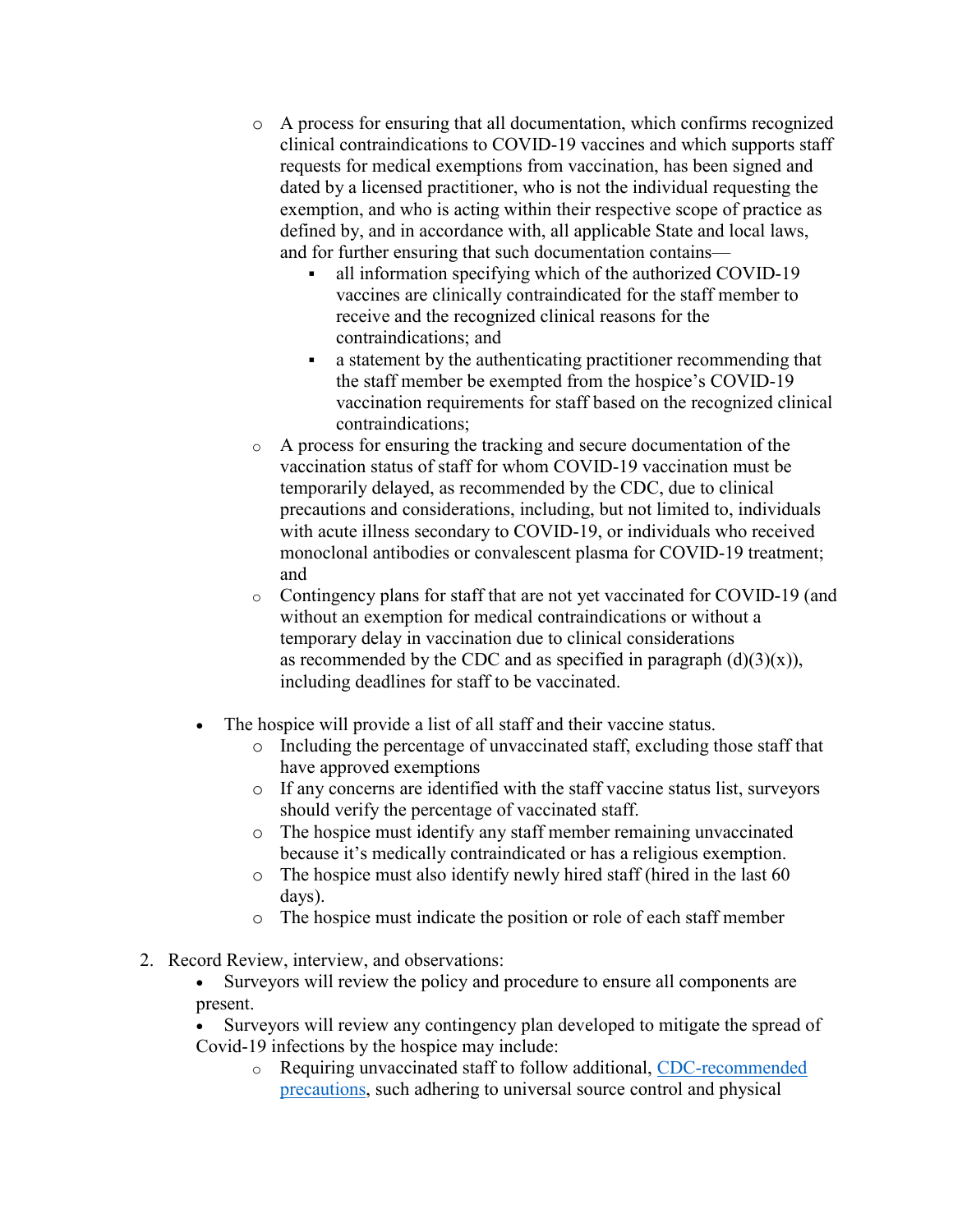- o A process for ensuring that all documentation, which confirms recognized clinical contraindications to COVID-19 vaccines and which supports staff requests for medical exemptions from vaccination, has been signed and dated by a licensed practitioner, who is not the individual requesting the exemption, and who is acting within their respective scope of practice as defined by, and in accordance with, all applicable State and local laws, and for further ensuring that such documentation contains
	- all information specifying which of the authorized COVID-19 vaccines are clinically contraindicated for the staff member to receive and the recognized clinical reasons for the contraindications; and
	- a statement by the authenticating practitioner recommending that the staff member be exempted from the hospice's COVID-19 vaccination requirements for staff based on the recognized clinical contraindications;
- o A process for ensuring the tracking and secure documentation of the vaccination status of staff for whom COVID-19 vaccination must be temporarily delayed, as recommended by the CDC, due to clinical precautions and considerations, including, but not limited to, individuals with acute illness secondary to COVID-19, or individuals who received monoclonal antibodies or convalescent plasma for COVID-19 treatment; and
- o Contingency plans for staff that are not yet vaccinated for COVID-19 (and without an exemption for medical contraindications or without a temporary delay in vaccination due to clinical considerations as recommended by the CDC and as specified in paragraph  $(d)(3)(x)$ ), including deadlines for staff to be vaccinated.
- The hospice will provide a list of all staff and their vaccine status.
	- o Including the percentage of unvaccinated staff, excluding those staff that have approved exemptions
	- o If any concerns are identified with the staff vaccine status list, surveyors should verify the percentage of vaccinated staff.
	- o The hospice must identify any staff member remaining unvaccinated because it's medically contraindicated or has a religious exemption.
	- o The hospice must also identify newly hired staff (hired in the last 60 days).
	- o The hospice must indicate the position or role of each staff member
- 2. Record Review, interview, and observations:
	- Surveyors will review the policy and procedure to ensure all components are present.
	- Surveyors will review any contingency plan developed to mitigate the spread of Covid-19 infections by the hospice may include:
		- o Requiring unvaccinated staff to follow additional, [CDC-recommended](https://www.cdc.gov/coronavirus/2019-ncov/hcp/infection-control-recommendations.html)  [precautions,](https://www.cdc.gov/coronavirus/2019-ncov/hcp/infection-control-recommendations.html) such adhering to universal source control and physical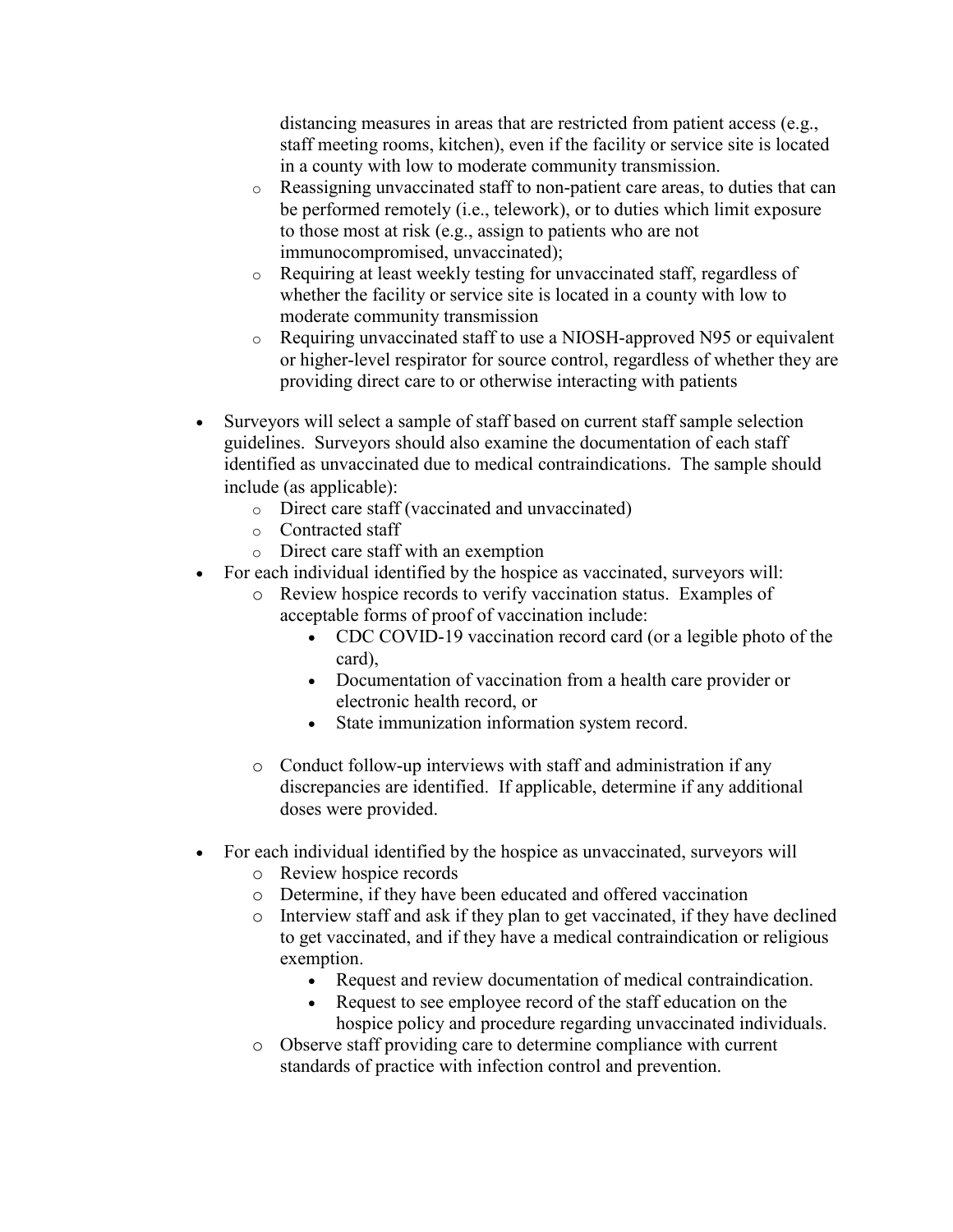distancing measures in areas that are restricted from patient access (e.g., staff meeting rooms, kitchen), even if the facility or service site is located in a county with low to moderate community transmission.

- o Reassigning unvaccinated staff to non-patient care areas, to duties that can be performed remotely (i.e., telework), or to duties which limit exposure to those most at risk (e.g., assign to patients who are not immunocompromised, unvaccinated);
- Requiring at least weekly testing for unvaccinated staff, regardless of whether the facility or service site is located in a county with low to moderate community transmission
- $\circ$  Requiring unvaccinated staff to use a NIOSH-approved N95 or equivalent or higher-level respirator for source control, regardless of whether they are providing direct care to or otherwise interacting with patients
- Surveyors will select a sample of staff based on current staff sample selection guidelines. Surveyors should also examine the documentation of each staff identified as unvaccinated due to medical contraindications. The sample should include (as applicable):
	- o Direct care staff (vaccinated and unvaccinated)
	- o Contracted staff
	- o Direct care staff with an exemption
- For each individual identified by the hospice as vaccinated, surveyors will:
	- o Review hospice records to verify vaccination status. Examples of acceptable forms of proof of vaccination include:
		- CDC COVID-19 vaccination record card (or a legible photo of the card),
		- Documentation of vaccination from a health care provider or electronic health record, or
		- State immunization information system record.
	- o Conduct follow-up interviews with staff and administration if any discrepancies are identified. If applicable, determine if any additional doses were provided.
- For each individual identified by the hospice as unvaccinated, surveyors will
	- o Review hospice records
	- o Determine, if they have been educated and offered vaccination
	- o Interview staff and ask if they plan to get vaccinated, if they have declined to get vaccinated, and if they have a medical contraindication or religious exemption.
		- Request and review documentation of medical contraindication.
		- Request to see employee record of the staff education on the hospice policy and procedure regarding unvaccinated individuals.
	- o Observe staff providing care to determine compliance with current standards of practice with infection control and prevention.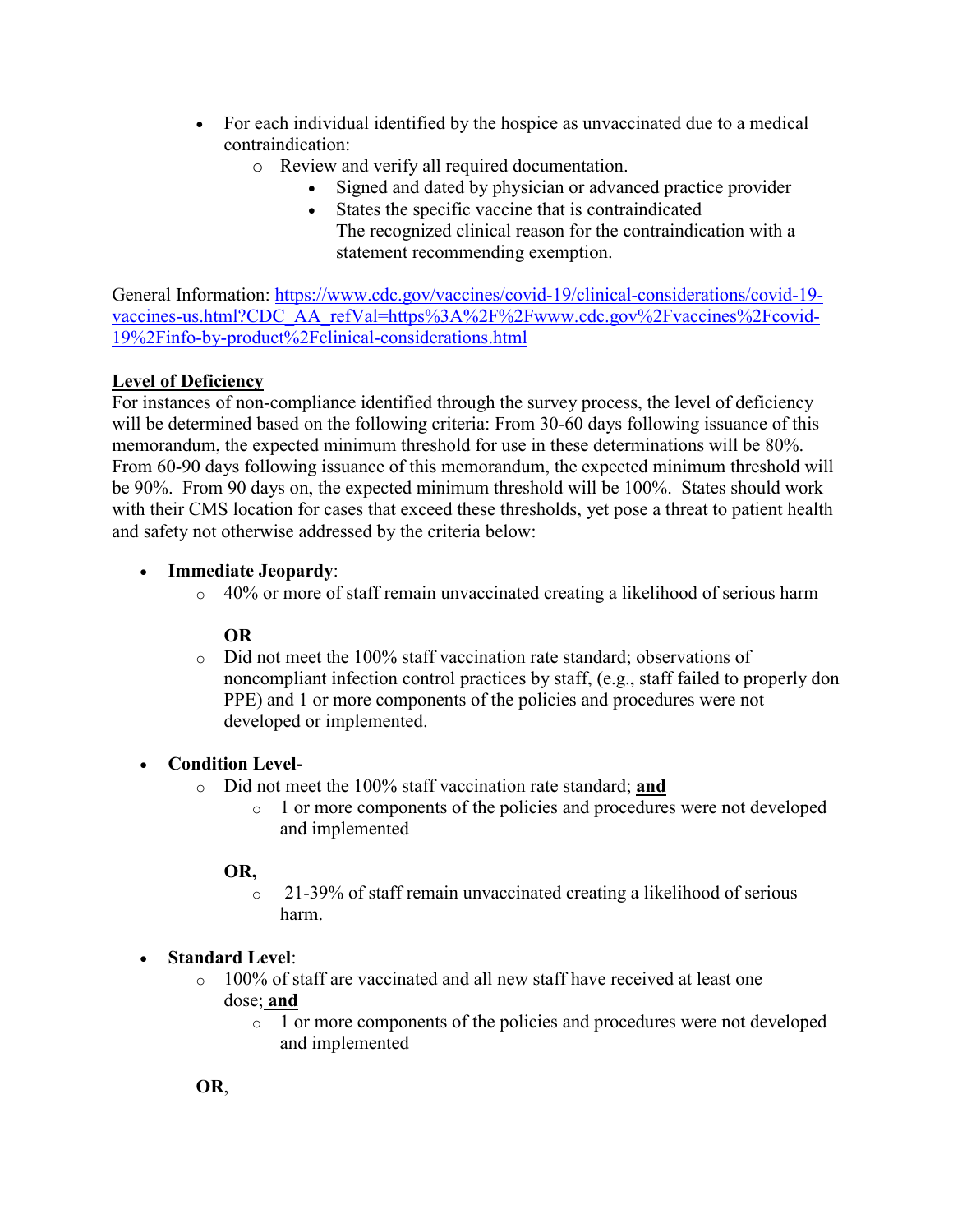- For each individual identified by the hospice as unvaccinated due to a medical contraindication:
	- o Review and verify all required documentation.
		- Signed and dated by physician or advanced practice provider
		- States the specific vaccine that is contraindicated The recognized clinical reason for the contraindication with a statement recommending exemption.

General Information: [https://www.cdc.gov/vaccines/covid-19/clinical-considerations/covid-19](https://www.cdc.gov/vaccines/covid-19/clinical-considerations/covid-19-vaccines-us.html?CDC_AA_refVal=https%3A%2F%2Fwww.cdc.gov%2Fvaccines%2Fcovid-19%2Finfo-by-product%2Fclinical-considerations.html) [vaccines-us.html?CDC\\_AA\\_refVal=https%3A%2F%2Fwww.cdc.gov%2Fvaccines%2Fcovid-](https://www.cdc.gov/vaccines/covid-19/clinical-considerations/covid-19-vaccines-us.html?CDC_AA_refVal=https%3A%2F%2Fwww.cdc.gov%2Fvaccines%2Fcovid-19%2Finfo-by-product%2Fclinical-considerations.html)[19%2Finfo-by-product%2Fclinical-considerations.html](https://www.cdc.gov/vaccines/covid-19/clinical-considerations/covid-19-vaccines-us.html?CDC_AA_refVal=https%3A%2F%2Fwww.cdc.gov%2Fvaccines%2Fcovid-19%2Finfo-by-product%2Fclinical-considerations.html)

## **Level of Deficiency**

For instances of non-compliance identified through the survey process, the level of deficiency will be determined based on the following criteria: From 30-60 days following issuance of this memorandum, the expected minimum threshold for use in these determinations will be 80%. From 60-90 days following issuance of this memorandum, the expected minimum threshold will be 90%. From 90 days on, the expected minimum threshold will be 100%. States should work with their CMS location for cases that exceed these thresholds, yet pose a threat to patient health and safety not otherwise addressed by the criteria below:

## • **Immediate Jeopardy**:

 $\circ$  40% or more of staff remain unvaccinated creating a likelihood of serious harm

## **OR**

o Did not meet the 100% staff vaccination rate standard; observations of noncompliant infection control practices by staff, (e.g., staff failed to properly don PPE) and 1 or more components of the policies and procedures were not developed or implemented.

## • **Condition Level-**

- o Did not meet the 100% staff vaccination rate standard; **and**
	- o 1 or more components of the policies and procedures were not developed and implemented

## **OR,**

o 21-39% of staff remain unvaccinated creating a likelihood of serious harm.

## • **Standard Level**:

- $\circ$  100% of staff are vaccinated and all new staff have received at least one dose; **and**
	- o 1 or more components of the policies and procedures were not developed and implemented

**OR**,